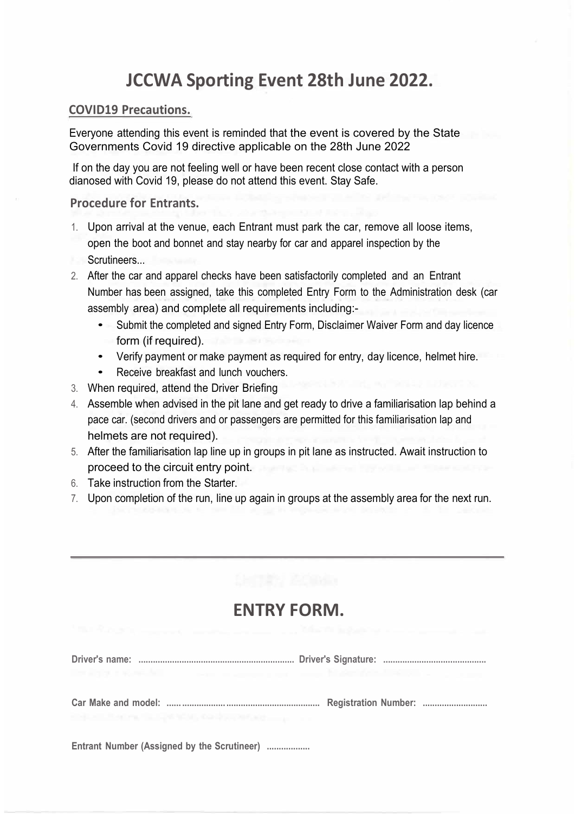# **JCCWA Sporting Event 28th June 2022.**

### **COVID19 Precautions.**

Everyone attending this event is reminded that the event is covered by the State Governments Covid 19 directive applicable on the 28th June 2022

If on the day you are not feeling well or have been recent close contact with a person dianosed with Covid 19, please do not attend this event. Stay Safe.

### **Procedure for Entrants.**

- 1. Upon arrival at the venue, each Entrant must park the car, remove all loose items, open the boot and bonnet and stay nearby for car and apparel inspection by the Scrutineers...
- 2. After the car and apparel checks have been satisfactorily completed and an Entrant Number has been assigned, take this completed Entry Form to the Administration desk (car assembly area) and complete all requirements including:-
	- Submit the completed and signed Entry Form, Disclaimer Waiver Form and day licence form (if required).
	- Verify payment or make payment as required for entry, day licence, helmet hire.
	- Receive breakfast and lunch vouchers.
- 3. When required, attend the Driver Briefing
- 4. Assemble when advised in the pit lane and get ready to drive a familiarisation lap behind a pace car. (second drivers and or passengers are permitted for this familiarisation lap and helmets are not required).
- 5. After the familiarisation lap line up in groups in pit lane as instructed. Await instruction to proceed to the circuit entry point.
- 6. Take instruction from the Starter.
- 7. Upon completion of the run, line up again in groups at the assembly area for the next run.

# **ENTRY FORM.**

| IN ASSESSMENT TO THE RESIDENCE OF THE REPORT OF A REPORT OF A REAL PROPERTY. |  |  |  |
|------------------------------------------------------------------------------|--|--|--|
| and a contemporary state contemporary and a contemporary and a con-          |  |  |  |
| Entrant Nicholas (Analonaed by the Corrithment                               |  |  |  |

**Entrant Number (Assigned by the Scrutineer) ..................**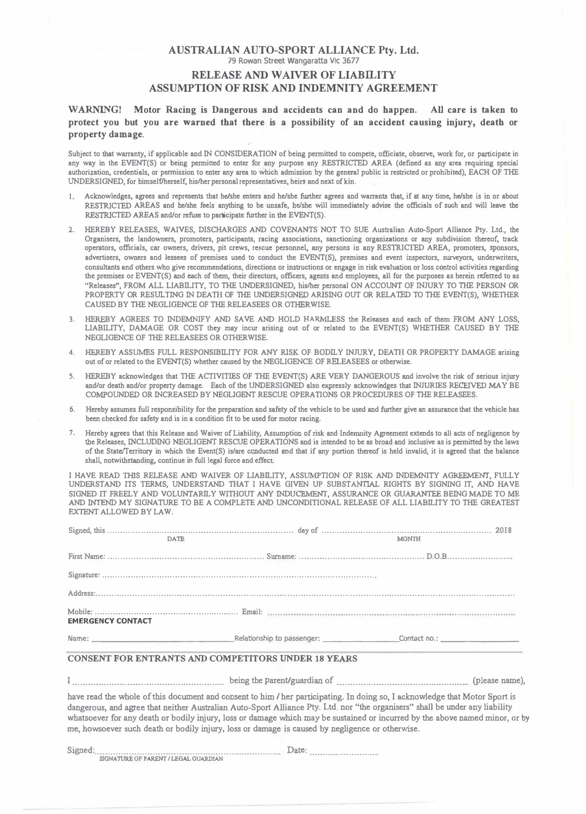### **AUSTRALIAN AUTO-SPORT ALLIANCE Pty. Ltd.**  79 Rowan Street Wangaratta Vic 3677 **RELEASE AND WAIVER OF LIABILITY ASSUMPTION OF RISK AND INDEMNITY AGREEMENT**

**WARNING! Motor Racing is Dangerous and accidents can and do happen. All care is taken to protect you but you are warned that there is a possibility of an accident causing injury, death or property damage.** 

Subject to that warranty, if applicable and IN CONSIDERATION of being permitted to compete, officiate, observe, work for, or participate in any way in the EVENT(S) or being permitted to enter for any purpose any RESTRICTED AREA (defined as any area requiring special authorization, credentials, or permission to enter any area to which admission by the general public is restricted or prohibited), EACH OF THE UNDERSIGNED, for himself/herself, his/her personal representatives, heirs and next of kin.

- I. Acknowledges, agrees and represents that he/she enters and he/she further agrees and warrants that, if at any time, he/she is in or about RESTRICTED AREAS and be/she feels anything to be unsafe, be/she will immediately advise the officials of such and will leave tbe RESTRICTED AREAS and/or refuse to participate further in the EVENT(S).
- 2. HEREBY RELEASES, WAIVES, DISCHARGES AND COVENANTS NOT TO SUE Australian Auto-Sport Alliance Pty. Ltd., tbe Organisers, the landowners, promoters, participants, racing associations, sanctioning organizations or any subdivision thereof, track operators, officials, car owners, drivers, pit crews, rescue personnel, any persons in any RESTRICTED AREA, promoters, sponsors, advertisers, owners and lessees of premises used to conduct the EVENT(S), premises and event inspectors, surveyors, underwriters, consultants and others who gjve recommendations, directions or instructions or engage in risk evaluation or loss control activities regarding the premises or EVENT(S) and each of them, their directors, officers, agents and employees, all for the purposes as herein referred to as "Releases", FROM ALL LIABILITY, TO THE UNDERSIGNED, his/her personal ON ACCOUNT OF INJURY TO THE PERSON OR PROPERTY OR RESULTING IN DEATH OF THE UNDERSIGNED ARISING OUT OR RELATED TO THE EVENT(S), WHETHER CAUSED BY THE NEGLIGENCE OF THE RELEASEES OR OTHERWISE.
- 3. HEREBY AGREES TO INDEMNIFY AND SAVE AND HOLD HARMLESS the Releases and each of them FROM ANY LOSS, LIABILITY, DAMAGE OR COST they may incur arising out of or related to the EVENT(S) WHETHER CAUSED BY THE NEGLIGENCE OF THE RELEASEES OR OTHERWISE.
- 4. HEREBY ASSUMES FULL RESPONSIBILITY FOR ANY RISK OF BODILY INJURY, DEATII OR PROPERTY DAMAGE arising out of or related to the EVENT(S) whether caused by the NEGLIGENCE OF RELEASEES or otherwise.
- 5. HEREBY acknowledges that THE ACTIVITIES OF THE EVENT(S) ARE VERY DANGEROUS and involve the risk of serious injury and/or death and/or property damage. Each of the UNDERSIGNED also expressly acknowledges that INIURlES RECEIVED MAY BE COMPOUNDED OR INCREASED BY NEGLIGENT RESCUE OPERATIONS OR PROCEDURES OF THE RELEASEES.
- 6. Hereby assumes full responsibility for the preparation and safety of the vehicle to be used and further give an assurance that the vehicle has been checked for safety and is in a condition fit to be used for motor racing.
- 7. Hereby agrees that this Release and Waiver of Liability, Assumption ofrisk and Indemnity Agreement extends to all acts of negligence by the Releases, INCLUDING NEGLIGENT RESCUE OPERATIONS and is intended to be as broad and inclusive as is permitted by the laws of the State/Territory in which the Event(S) is/are conducted and that if any portion thereof is held invalid, it is agreed that the balance shall, notwithstanding, continue in full legal force and effect.

I HAVE READ THIS RELEASE AND WAIVER OF LIABILITY, ASSUMPTION OF RISK AND INDEMNITY AGREEMENT, FULLY UNDERSTAND ITS TERMS, UNDERSTAND TIIAT I HAVE GIVEN UP SUBSTANTIAL RIGHTS BY SIGNING IT, AND HAVE SIGNED IT FREELY AND VOLUNTARILY WITHOUT ANY INDUCEMENT, ASSURANCE OR GUARANTEE BEING MADE TO ME EXTENT ALLOWED BY LAW. AND INTEND MY SIGNATURE TO BE A COMPLETE AND UNCONDITIONAL RELEASE OF ALL LIABILITY TO THE GREATEST

| <b>DATE</b>              | <b>MONTH</b> |
|--------------------------|--------------|
|                          |              |
|                          |              |
|                          |              |
| <b>EMERGENCY CONTACT</b> |              |
|                          |              |

#### **CONSENT FOR ENTRANTS AND COMPETITORS UNDER 18 YEARS**

I .......................................................... being the parent/guardian of ................................................... (please name),

have read the whole of this document and consent to **him /** her participating. In doing so, I acknowledge that Motor Sport is dangerous, and agree that neither Australian Auto-Sport Alliance Pty. Ltd. nor "the organisers" shall be under any liability whatsoever for any death or bodily injury, loss or damage which may be sustained or incurred by the above named minor, or by me, howsoever such death or bodily injury, loss or damage is caused by negligence or otherwise.

Signed: ....................................................................... Date: .......................... . SIGNATURE OF PARENT / LEGAL GUARDIAN